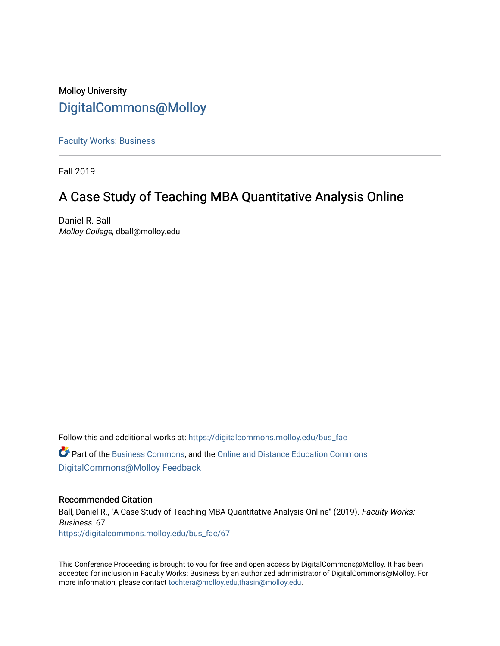### Molloy University [DigitalCommons@Molloy](https://digitalcommons.molloy.edu/)

[Faculty Works: Business](https://digitalcommons.molloy.edu/bus_fac) 

Fall 2019

## A Case Study of Teaching MBA Quantitative Analysis Online

Daniel R. Ball Molloy College, dball@molloy.edu

Follow this and additional works at: [https://digitalcommons.molloy.edu/bus\\_fac](https://digitalcommons.molloy.edu/bus_fac?utm_source=digitalcommons.molloy.edu%2Fbus_fac%2F67&utm_medium=PDF&utm_campaign=PDFCoverPages) **C** Part of the [Business Commons](https://network.bepress.com/hgg/discipline/622?utm_source=digitalcommons.molloy.edu%2Fbus_fac%2F67&utm_medium=PDF&utm_campaign=PDFCoverPages), and the [Online and Distance Education Commons](https://network.bepress.com/hgg/discipline/1296?utm_source=digitalcommons.molloy.edu%2Fbus_fac%2F67&utm_medium=PDF&utm_campaign=PDFCoverPages) [DigitalCommons@Molloy Feedback](https://molloy.libwizard.com/f/dcfeedback)

#### Recommended Citation

Ball, Daniel R., "A Case Study of Teaching MBA Quantitative Analysis Online" (2019). Faculty Works: Business. 67. [https://digitalcommons.molloy.edu/bus\\_fac/67](https://digitalcommons.molloy.edu/bus_fac/67?utm_source=digitalcommons.molloy.edu%2Fbus_fac%2F67&utm_medium=PDF&utm_campaign=PDFCoverPages) 

This Conference Proceeding is brought to you for free and open access by DigitalCommons@Molloy. It has been accepted for inclusion in Faculty Works: Business by an authorized administrator of DigitalCommons@Molloy. For more information, please contact [tochtera@molloy.edu,thasin@molloy.edu.](mailto:tochtera@molloy.edu,thasin@molloy.edu)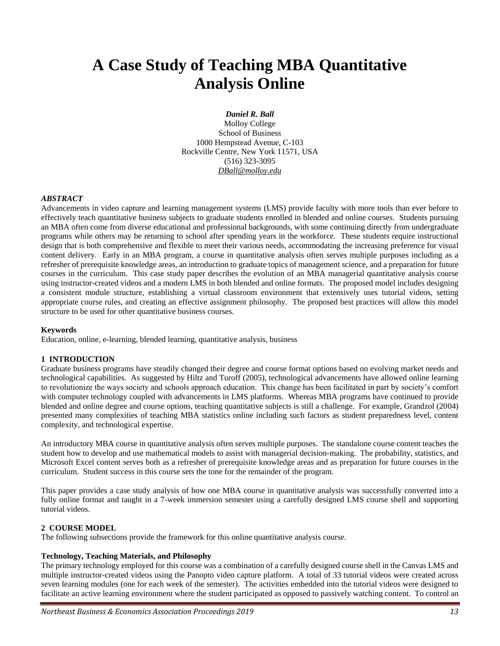# **A Case Study of Teaching MBA Quantitative Analysis Online**

*Daniel R. Ball*

Molloy College School of Business 1000 Hempstead Avenue, C-103 Rockville Centre, New York 11571, USA (516) 323-3095 *DBall@molloy.edu*

#### *ABSTRACT*

Advancements in video capture and learning management systems (LMS) provide faculty with more tools than ever before to effectively teach quantitative business subjects to graduate students enrolled in blended and online courses. Students pursuing an MBA often come from diverse educational and professional backgrounds, with some continuing directly from undergraduate programs while others may be returning to school after spending years in the workforce. These students require instructional design that is both comprehensive and flexible to meet their various needs, accommodating the increasing preference for visual content delivery. Early in an MBA program, a course in quantitative analysis often serves multiple purposes including as a refresher of prerequisite knowledge areas, an introduction to graduate topics of management science, and a preparation for future courses in the curriculum. This case study paper describes the evolution of an MBA managerial quantitative analysis course using instructor-created videos and a modern LMS in both blended and online formats. The proposed model includes designing a consistent module structure, establishing a virtual classroom environment that extensively uses tutorial videos, setting appropriate course rules, and creating an effective assignment philosophy. The proposed best practices will allow this model structure to be used for other quantitative business courses.

#### **Keywords**

Education, online, e-learning, blended learning, quantitative analysis, business

#### **1 INTRODUCTION**

Graduate business programs have steadily changed their degree and course format options based on evolving market needs and technological capabilities. As suggested by Hiltz and Turoff (2005), technological advancements have allowed online learning to revolutionize the ways society and schools approach education. This change has been facilitated in part by society's comfort with computer technology coupled with advancements in LMS platforms. Whereas MBA programs have continued to provide blended and online degree and course options, teaching quantitative subjects is still a challenge. For example, Grandzol (2004) presented many complexities of teaching MBA statistics online including such factors as student preparedness level, content complexity, and technological expertise.

An introductory MBA course in quantitative analysis often serves multiple purposes. The standalone course content teaches the student how to develop and use mathematical models to assist with managerial decision-making. The probability, statistics, and Microsoft Excel content serves both as a refresher of prerequisite knowledge areas and as preparation for future courses in the curriculum. Student success in this course sets the tone for the remainder of the program.

This paper provides a case study analysis of how one MBA course in quantitative analysis was successfully converted into a fully online format and taught in a 7-week immersion semester using a carefully designed LMS course shell and supporting tutorial videos.

#### **2 COURSE MODEL**

The following subsections provide the framework for this online quantitative analysis course.

#### **Technology, Teaching Materials, and Philosophy**

The primary technology employed for this course was a combination of a carefully designed course shell in the Canvas LMS and multiple instructor-created videos using the Panopto video capture platform. A total of 33 tutorial videos were created across seven learning modules (one for each week of the semester). The activities embedded into the tutorial videos were designed to facilitate an active learning environment where the student participated as opposed to passively watching content. To control an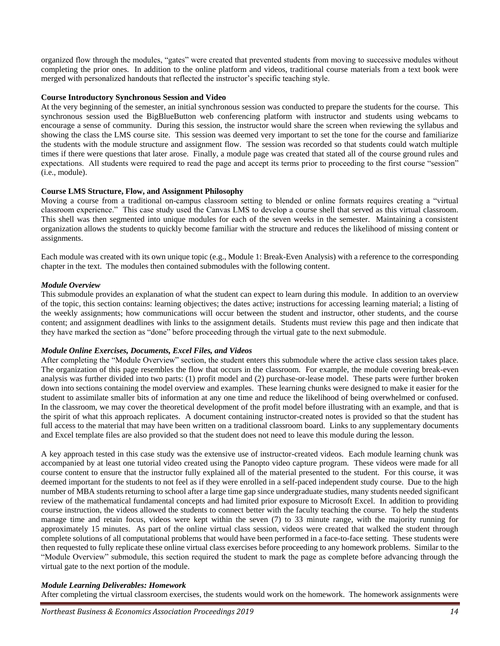organized flow through the modules, "gates" were created that prevented students from moving to successive modules without completing the prior ones. In addition to the online platform and videos, traditional course materials from a text book were merged with personalized handouts that reflected the instructor's specific teaching style.

#### **Course Introductory Synchronous Session and Video**

At the very beginning of the semester, an initial synchronous session was conducted to prepare the students for the course. This synchronous session used the BigBlueButton web conferencing platform with instructor and students using webcams to encourage a sense of community. During this session, the instructor would share the screen when reviewing the syllabus and showing the class the LMS course site. This session was deemed very important to set the tone for the course and familiarize the students with the module structure and assignment flow. The session was recorded so that students could watch multiple times if there were questions that later arose. Finally, a module page was created that stated all of the course ground rules and expectations. All students were required to read the page and accept its terms prior to proceeding to the first course "session" (i.e., module).

#### **Course LMS Structure, Flow, and Assignment Philosophy**

Moving a course from a traditional on-campus classroom setting to blended or online formats requires creating a "virtual classroom experience." This case study used the Canvas LMS to develop a course shell that served as this virtual classroom. This shell was then segmented into unique modules for each of the seven weeks in the semester. Maintaining a consistent organization allows the students to quickly become familiar with the structure and reduces the likelihood of missing content or assignments.

Each module was created with its own unique topic (e.g., Module 1: Break-Even Analysis) with a reference to the corresponding chapter in the text. The modules then contained submodules with the following content.

#### *Module Overview*

This submodule provides an explanation of what the student can expect to learn during this module. In addition to an overview of the topic, this section contains: learning objectives; the dates active; instructions for accessing learning material; a listing of the weekly assignments; how communications will occur between the student and instructor, other students, and the course content; and assignment deadlines with links to the assignment details. Students must review this page and then indicate that they have marked the section as "done" before proceeding through the virtual gate to the next submodule.

#### *Module Online Exercises, Documents, Excel Files, and Videos*

After completing the "Module Overview" section, the student enters this submodule where the active class session takes place. The organization of this page resembles the flow that occurs in the classroom. For example, the module covering break-even analysis was further divided into two parts: (1) profit model and (2) purchase-or-lease model. These parts were further broken down into sections containing the model overview and examples. These learning chunks were designed to make it easier for the student to assimilate smaller bits of information at any one time and reduce the likelihood of being overwhelmed or confused. In the classroom, we may cover the theoretical development of the profit model before illustrating with an example, and that is the spirit of what this approach replicates. A document containing instructor-created notes is provided so that the student has full access to the material that may have been written on a traditional classroom board. Links to any supplementary documents and Excel template files are also provided so that the student does not need to leave this module during the lesson.

A key approach tested in this case study was the extensive use of instructor-created videos. Each module learning chunk was accompanied by at least one tutorial video created using the Panopto video capture program. These videos were made for all course content to ensure that the instructor fully explained all of the material presented to the student. For this course, it was deemed important for the students to not feel as if they were enrolled in a self-paced independent study course. Due to the high number of MBA students returning to school after a large time gap since undergraduate studies, many students needed significant review of the mathematical fundamental concepts and had limited prior exposure to Microsoft Excel. In addition to providing course instruction, the videos allowed the students to connect better with the faculty teaching the course. To help the students manage time and retain focus, videos were kept within the seven (7) to 33 minute range, with the majority running for approximately 15 minutes. As part of the online virtual class session, videos were created that walked the student through complete solutions of all computational problems that would have been performed in a face-to-face setting. These students were then requested to fully replicate these online virtual class exercises before proceeding to any homework problems. Similar to the "Module Overview" submodule, this section required the student to mark the page as complete before advancing through the virtual gate to the next portion of the module.

#### *Module Learning Deliverables: Homework*

After completing the virtual classroom exercises, the students would work on the homework. The homework assignments were